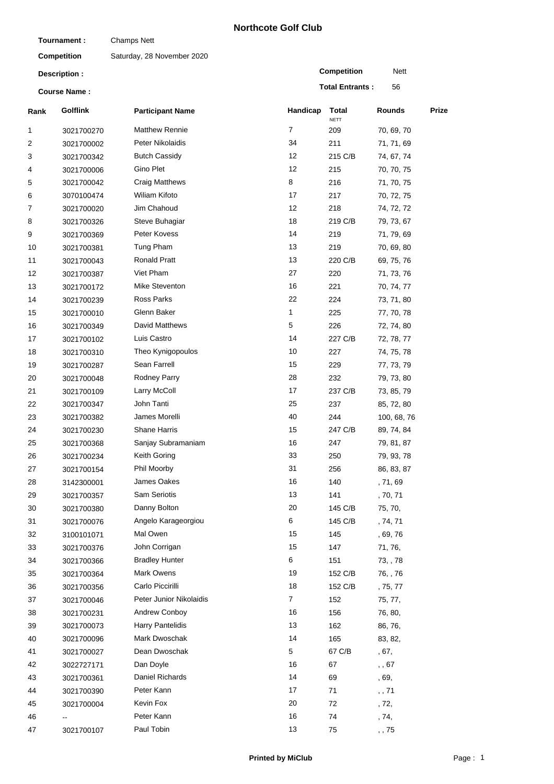## **Northcote Golf Club**

| Tournament:<br><b>Competition</b><br>Description:<br><b>Course Name:</b> |                 | <b>Champs Nett</b>         |                |                        |                |       |
|--------------------------------------------------------------------------|-----------------|----------------------------|----------------|------------------------|----------------|-------|
|                                                                          |                 | Saturday, 28 November 2020 |                |                        |                |       |
|                                                                          |                 |                            |                | <b>Competition</b>     | Nett           |       |
|                                                                          |                 |                            |                | <b>Total Entrants:</b> | 56             |       |
| Rank                                                                     | <b>Golflink</b> | <b>Participant Name</b>    | Handicap       | Total                  | <b>Rounds</b>  | Prize |
| 1                                                                        | 3021700270      | <b>Matthew Rennie</b>      | 7              | <b>NETT</b><br>209     | 70, 69, 70     |       |
| 2                                                                        | 3021700002      | Peter Nikolaidis           | 34             | 211                    | 71, 71, 69     |       |
| 3                                                                        | 3021700342      | <b>Butch Cassidy</b>       | 12             | 215 C/B                | 74, 67, 74     |       |
| 4                                                                        | 3021700006      | <b>Gino Plet</b>           | 12             | 215                    | 70, 70, 75     |       |
| 5                                                                        | 3021700042      | <b>Craig Matthews</b>      | 8              | 216                    | 71, 70, 75     |       |
| 6                                                                        | 3070100474      | <b>Wiliam Kifoto</b>       | 17             | 217                    | 70, 72, 75     |       |
| 7                                                                        | 3021700020      | Jim Chahoud                | 12             | 218                    | 74, 72, 72     |       |
| 8                                                                        | 3021700326      | Steve Buhagiar             | 18             | 219 C/B                | 79, 73, 67     |       |
| 9                                                                        | 3021700369      | Peter Kovess               | 14             | 219                    | 71, 79, 69     |       |
| 10                                                                       | 3021700381      | Tung Pham                  | 13             | 219                    | 70, 69, 80     |       |
| 11                                                                       | 3021700043      | <b>Ronald Pratt</b>        | 13             | 220 C/B                | 69, 75, 76     |       |
| 12                                                                       |                 | Viet Pham                  | 27             | 220                    |                |       |
|                                                                          | 3021700387      | Mike Steventon             | 16             |                        | 71, 73, 76     |       |
| 13                                                                       | 3021700172      |                            |                | 221                    | 70, 74, 77     |       |
| 14                                                                       | 3021700239      | Ross Parks                 | 22             | 224                    | 73, 71, 80     |       |
| 15                                                                       | 3021700010      | Glenn Baker                | 1              | 225                    | 77, 70, 78     |       |
| 16                                                                       | 3021700349      | David Matthews             | 5              | 226                    | 72, 74, 80     |       |
| 17                                                                       | 3021700102      | Luis Castro                | 14             | 227 C/B                | 72, 78, 77     |       |
| 18                                                                       | 3021700310      | Theo Kynigopoulos          | 10             | 227                    | 74, 75, 78     |       |
| 19                                                                       | 3021700287      | Sean Farrell               | 15             | 229                    | 77, 73, 79     |       |
| 20                                                                       | 3021700048      | Rodney Parry               | 28             | 232                    | 79, 73, 80     |       |
| 21                                                                       | 3021700109      | Larry McColl               | 17             | 237 C/B                | 73, 85, 79     |       |
| 22                                                                       | 3021700347      | John Tanti                 | 25             | 237                    | 85, 72, 80     |       |
| 23                                                                       | 3021700382      | James Morelli              | 40             | 244                    | 100, 68, 76    |       |
| 24                                                                       | 3021700230      | <b>Shane Harris</b>        | 15             | 247 C/B                | 89, 74, 84     |       |
| 25                                                                       | 3021700368      | Sanjay Subramaniam         | 16             | 247                    | 79, 81, 87     |       |
| 26                                                                       | 3021700234      | Keith Goring               | 33             | 250                    | 79, 93, 78     |       |
| 27                                                                       | 3021700154      | Phil Moorby                | 31             | 256                    | 86, 83, 87     |       |
| 28                                                                       | 3142300001      | James Oakes                | 16             | 140                    | , 71, 69       |       |
| 29                                                                       | 3021700357      | <b>Sam Seriotis</b>        | 13             | 141                    | , 70, 71       |       |
| 30                                                                       | 3021700380      | Danny Bolton               | 20             | 145 C/B                | 75, 70,        |       |
| 31                                                                       | 3021700076      | Angelo Karageorgiou        | 6              | 145 C/B                | , 74, 71       |       |
| 32                                                                       | 3100101071      | Mal Owen                   | 15             | 145                    | , 69, 76       |       |
| 33                                                                       | 3021700376      | John Corrigan              | 15             | 147                    | 71, 76,        |       |
| 34                                                                       | 3021700366      | <b>Bradley Hunter</b>      | 6              | 151                    | 73, , 78       |       |
| 35                                                                       | 3021700364      | Mark Owens                 | 19             | 152 C/B                | 76, , 76       |       |
| 36                                                                       | 3021700356      | Carlo Piccirilli           | 18             | 152 C/B                | , 75, 77       |       |
| 37                                                                       | 3021700046      | Peter Junior Nikolaidis    | $\overline{7}$ | 152                    | 75, 77,        |       |
| 38                                                                       | 3021700231      | Andrew Conboy              | 16             | 156                    | 76, 80,        |       |
| 39                                                                       | 3021700073      | <b>Harry Pantelidis</b>    | 13             | 162                    | 86, 76,        |       |
| 40                                                                       | 3021700096      | Mark Dwoschak              | 14             | 165                    | 83, 82,        |       |
| 41                                                                       | 3021700027      | Dean Dwoschak              | 5              | 67 C/B                 | , 67,          |       |
| 42                                                                       | 3022727171      | Dan Doyle                  | 16             | 67                     | $, \, , \, 67$ |       |
| 43                                                                       | 3021700361      | Daniel Richards            | 14             | 69                     | , 69,          |       |
| 44                                                                       | 3021700390      | Peter Kann                 | 17             | 71                     | , 71           |       |
| 45                                                                       | 3021700004      | Kevin Fox                  | 20             | 72                     | , 72,          |       |
| 46                                                                       |                 | Peter Kann                 | 16             | 74                     | , 74,          |       |
| 47                                                                       | 3021700107      | Paul Tobin                 | 13             | 75                     | , 75           |       |
|                                                                          |                 |                            |                |                        |                |       |